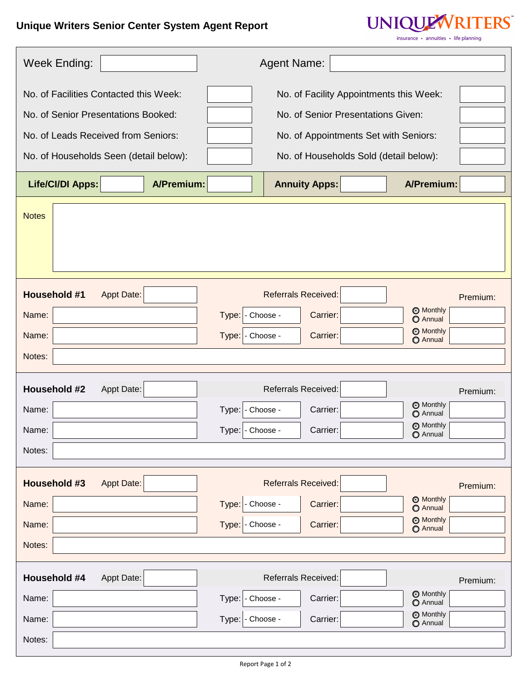## **Unique Writers Senior Center System Agent Report**

 $\Gamma$ 



 $\operatorname{\sf insurance}~ \boldsymbol{\cdot}~ \operatorname{\sf annuities}~ \boldsymbol{\cdot}~ \operatorname{\sf life}$  planning

| Week Ending:                                                                 | <b>Agent Name:</b>                                                |
|------------------------------------------------------------------------------|-------------------------------------------------------------------|
| No. of Facilities Contacted this Week:                                       | No. of Facility Appointments this Week:                           |
| No. of Senior Presentations Booked:                                          | No. of Senior Presentations Given:                                |
| No. of Leads Received from Seniors:<br>No. of Appointments Set with Seniors: |                                                                   |
| No. of Households Seen (detail below):                                       | No. of Households Sold (detail below):                            |
| <b>Life/CI/DI Apps:</b><br><b>A/Premium:</b>                                 | A/Premium:<br><b>Annuity Apps:</b>                                |
| <b>Notes</b>                                                                 |                                                                   |
| <b>Household #1</b><br><b>Appt Date:</b>                                     | <b>Referrals Received:</b><br>Premium:                            |
| Name:<br>Type:                                                               | <b>Monthly</b><br>Carrier:<br>- Choose -<br><b>O</b> Annual       |
| Name:                                                                        | <b>Monthly</b><br>Type: - Choose -<br>Carrier:<br><b>O</b> Annual |
| Notes:                                                                       |                                                                   |
| Household #2<br>Appt Date:                                                   | <b>Referrals Received:</b><br>Premium:                            |
| Name:<br>Type:                                                               | <b>Monthly</b><br>- Choose -<br>Carrier:<br><b>O</b> Annual       |
| Type:<br>Name:                                                               | <b>Monthly</b><br>Carrier:<br>- Choose -<br><b>O</b> Annual       |
| Notes:                                                                       |                                                                   |
| <b>Household #3</b><br><b>Appt Date:</b>                                     | <b>Referrals Received:</b><br>Premium:                            |
| Name:<br>Type:                                                               | <b>O</b> Monthly<br>- Choose -<br>Carrier:<br><b>O</b> Annual     |
| Name:<br>Type:                                                               | <b>Monthly</b><br>- Choose -<br>Carrier:<br><b>O</b> Annual       |
| Notes:                                                                       |                                                                   |
| Household #4<br>Appt Date:                                                   | <b>Referrals Received:</b><br>Premium:                            |
| Name:<br>Type:                                                               | <b>Monthly</b><br>- Choose -<br>Carrier:<br><b>O</b> Annual       |
| Name:<br>Type:                                                               | <b>Monthly</b><br>Carrier:<br>- Choose -<br>O Annual              |
| Notes:                                                                       |                                                                   |